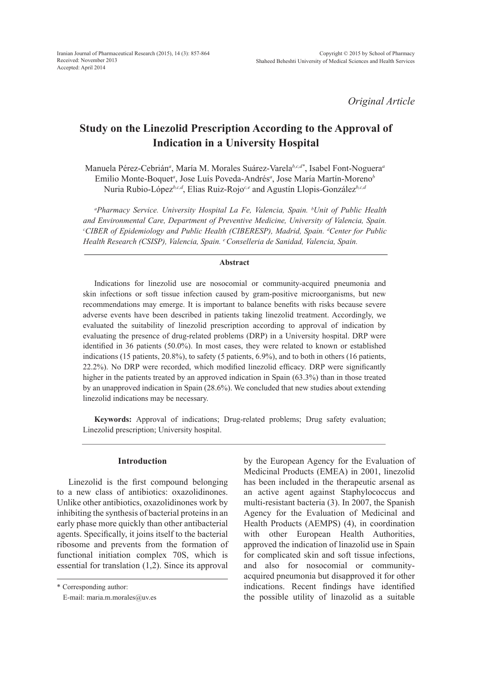*Original Article*

# **Study on the Linezolid Prescription According to the Approval of Indication in a University Hospital**

Manuela Pérez-Cebrián*<sup>a</sup>* , María M. Morales Suárez-Varela*b,c,d\**, Isabel Font-Noguera*<sup>a</sup>* Emilio Monte-Boquet*<sup>a</sup>* , Jose Luís Poveda-Andrés*<sup>a</sup>* , Jose María Martín-Moreno*<sup>b</sup>* Nuria Rubio-López*b,c,d*, Elias Ruiz-Rojo*c,e* and Agustín Llopis-González*b,c,d* 

*a Pharmacy Service. University Hospital La Fe, Valencia, Spain. b Unit of Public Health and Environmental Care, Department of Preventive Medicine, University of Valencia, Spain. c CIBER of Epidemiology and Public Health (CIBERESP), Madrid, Spain. d Center for Public Health Research (CSISP), Valencia, Spain. e Conselleria de Sanidad, Valencia, Spain.*

## **Abstract**

Indications for linezolid use are nosocomial or community-acquired pneumonia and skin infections or soft tissue infection caused by gram-positive microorganisms, but new recommendations may emerge. It is important to balance benefits with risks because severe adverse events have been described in patients taking linezolid treatment. Accordingly, we evaluated the suitability of linezolid prescription according to approval of indication by evaluating the presence of drug-related problems (DRP) in a University hospital. DRP were identified in 36 patients (50.0%). In most cases, they were related to known or established indications (15 patients, 20.8%), to safety (5 patients, 6.9%), and to both in others (16 patients, 22.2%). No DRP were recorded, which modified linezolid efficacy. DRP were significantly higher in the patients treated by an approved indication in Spain (63.3%) than in those treated by an unapproved indication in Spain (28.6%). We concluded that new studies about extending linezolid indications may be necessary.

**Keywords:** Approval of indications; Drug-related problems; Drug safety evaluation; Linezolid prescription; University hospital.

# **Introduction**

Linezolid is the first compound belonging to a new class of antibiotics: oxazolidinones. Unlike other antibiotics, oxazolidinones work by inhibiting the synthesis of bacterial proteins in an early phase more quickly than other antibacterial agents. Specifically, it joins itself to the bacterial ribosome and prevents from the formation of functional initiation complex 70S, which is essential for translation (1,2). Since its approval by the European Agency for the Evaluation of Medicinal Products (EMEA) in 2001, linezolid has been included in the therapeutic arsenal as an active agent against Staphylococcus and multi-resistant bacteria (3). In 2007, the Spanish Agency for the Evaluation of Medicinal and Health Products (AEMPS) (4), in coordination with other European Health Authorities, approved the indication of linazolid use in Spain for complicated skin and soft tissue infections, and also for nosocomial or communityacquired pneumonia but disapproved it for other indications. Recent findings have identified the possible utility of linazolid as a suitable

<sup>\*</sup> Corresponding author:

E-mail: maria.m.morales@uv.es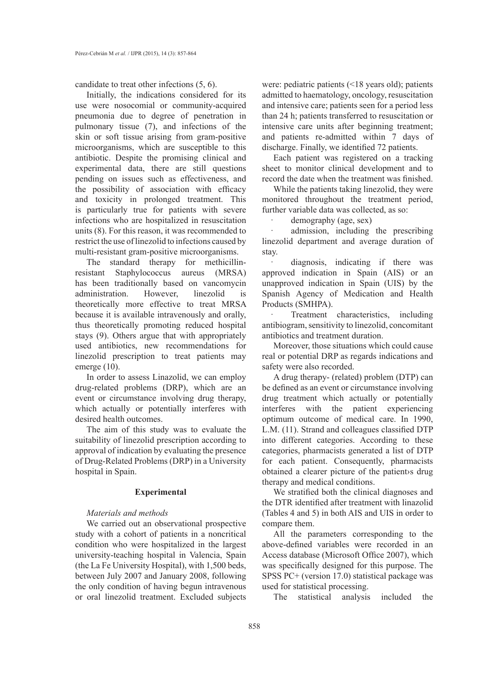candidate to treat other infections (5, 6).

Initially, the indications considered for its use were nosocomial or community-acquired pneumonia due to degree of penetration in pulmonary tissue (7), and infections of the skin or soft tissue arising from gram-positive microorganisms, which are susceptible to this antibiotic. Despite the promising clinical and experimental data, there are still questions pending on issues such as effectiveness, and the possibility of association with efficacy and toxicity in prolonged treatment. This is particularly true for patients with severe infections who are hospitalized in resuscitation units (8). For this reason, it was recommended to restrict the use of linezolid to infections caused by multi-resistant gram-positive microorganisms.

The standard therapy for methicillinresistant Staphylococcus aureus (MRSA) has been traditionally based on vancomycin administration. However, linezolid is theoretically more effective to treat MRSA because it is available intravenously and orally, thus theoretically promoting reduced hospital stays (9). Others argue that with appropriately used antibiotics, new recommendations for linezolid prescription to treat patients may emerge (10).

In order to assess Linazolid, we can employ drug-related problems (DRP), which are an event or circumstance involving drug therapy, which actually or potentially interferes with desired health outcomes.

The aim of this study was to evaluate the suitability of linezolid prescription according to approval of indication by evaluating the presence of Drug-Related Problems (DRP) in a University hospital in Spain.

### **Experimental**

# *Materials and methods*

We carried out an observational prospective study with a cohort of patients in a noncritical condition who were hospitalized in the largest university-teaching hospital in Valencia, Spain (the La Fe University Hospital), with 1,500 beds, between July 2007 and January 2008, following the only condition of having begun intravenous or oral linezolid treatment. Excluded subjects were: pediatric patients (<18 years old); patients admitted to haematology, oncology, resuscitation and intensive care; patients seen for a period less than 24 h; patients transferred to resuscitation or intensive care units after beginning treatment; and patients re-admitted within 7 days of discharge. Finally, we identified 72 patients.

Each patient was registered on a tracking sheet to monitor clinical development and to record the date when the treatment was finished.

While the patients taking linezolid, they were monitored throughout the treatment period, further variable data was collected, as so:

demography (age, sex)

admission, including the prescribing linezolid department and average duration of stay.

diagnosis, indicating if there was approved indication in Spain (AIS) or an unapproved indication in Spain (UIS) by the Spanish Agency of Medication and Health Products (SMHPA).

Treatment characteristics, including antibiogram, sensitivity to linezolid, concomitant antibiotics and treatment duration.

Moreover, those situations which could cause real or potential DRP as regards indications and safety were also recorded.

A drug therapy- (related) problem (DTP) can be defined as an event or circumstance involving drug treatment which actually or potentially interferes with the patient experiencing optimum outcome of medical care. In 1990, L.M. (11). Strand and colleagues classified DTP into different categories. According to these categories, pharmacists generated a list of DTP for each patient. Consequently, pharmacists obtained a clearer picture of the patient›s drug therapy and medical conditions.

We stratified both the clinical diagnoses and the DTR identified after treatment with linazolid (Tables 4 and 5) in both AIS and UIS in order to compare them.

All the parameters corresponding to the above-defined variables were recorded in an Access database (Microsoft Office 2007), which was specifically designed for this purpose. The SPSS PC+ (version 17.0) statistical package was used for statistical processing.

The statistical analysis included the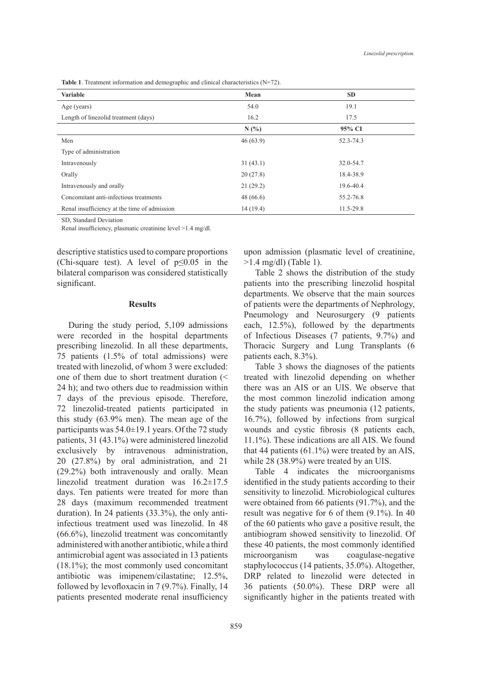**Table 1**. Treatment information and demographic and clinical characteristics (N=72).

| <b>Variable</b>                              | Mean     | <b>SD</b>     |
|----------------------------------------------|----------|---------------|
| Age (years)                                  | 54.0     | 19.1          |
| Length of linezolid treatment (days)         | 16.2     | 17.5          |
|                                              | N(%)     | 95% CI        |
| Men                                          | 46(63.9) | 52.3-74.3     |
| Type of administration                       |          |               |
| Intravenously                                | 31(43.1) | 32.0-54.7     |
| Orally                                       | 20(27.8) | 18.4-38.9     |
| Intravenously and orally                     | 21(29.2) | 19.6-40.4     |
| Concomitant anti-infectious treatments       | 48(66.6) | 55.2-76.8     |
| Renal insufficiency at the time of admission | 14(19.4) | $11.5 - 29.8$ |

SD, Standard Deviation

Renal insufficiency, plasmatic creatinine level >1.4 mg/dl.

descriptive statistics used to compare proportions (Chi-square test). A level of  $p \le 0.05$  in the bilateral comparison was considered statistically significant.

### **Results**

During the study period, 5,109 admissions were recorded in the hospital departments prescribing linezolid. In all these departments, 75 patients (1.5% of total admissions) were treated with linezolid, of whom 3 were excluded: one of them due to short treatment duration (< 24 h); and two others due to readmission within 7 days of the previous episode. Therefore, 72 linezolid-treated patients participated in this study (63.9% men). The mean age of the participants was 54.0±19.1 years. Of the 72 study patients, 31 (43.1%) were administered linezolid exclusively by intravenous administration, 20 (27.8%) by oral administration, and 21 (29.2%) both intravenously and orally. Mean linezolid treatment duration was 16.2±17.5 days. Ten patients were treated for more than 28 days (maximum recommended treatment duration). In 24 patients (33.3%), the only antiinfectious treatment used was linezolid. In 48 (66.6%), linezolid treatment was concomitantly administered with another antibiotic, while a third antimicrobial agent was associated in 13 patients (18.1%); the most commonly used concomitant antibiotic was imipenem/cilastatine; 12.5%, followed by levofloxacin in 7 (9.7%). Finally, 14 patients presented moderate renal insufficiency upon admission (plasmatic level of creatinine, >1.4 mg/dl) (Table 1).

Table 2 shows the distribution of the study patients into the prescribing linezolid hospital departments. We observe that the main sources of patients were the departments of Nephrology, Pneumology and Neurosurgery (9 patients each, 12.5%), followed by the departments of Infectious Diseases (7 patients, 9.7%) and Thoracic Surgery and Lung Transplants (6 patients each, 8.3%).

Table 3 shows the diagnoses of the patients treated with linezolid depending on whether there was an AIS or an UIS. We observe that the most common linezolid indication among the study patients was pneumonia (12 patients, 16.7%), followed by infections from surgical wounds and cystic fibrosis (8 patients each, 11.1%). These indications are all AIS. We found that 44 patients (61.1%) were treated by an AIS, while 28 (38.9%) were treated by an UIS.

Table 4 indicates the microorganisms identified in the study patients according to their sensitivity to linezolid. Microbiological cultures were obtained from 66 patients (91.7%), and the result was negative for 6 of them (9.1%). In 40 of the 60 patients who gave a positive result, the antibiogram showed sensitivity to linezolid. Of these 40 patients, the most commonly identified microorganism was coagulase-negative staphylococcus (14 patients, 35.0%). Altogether, DRP related to linezolid were detected in 36 patients (50.0%). These DRP were all significantly higher in the patients treated with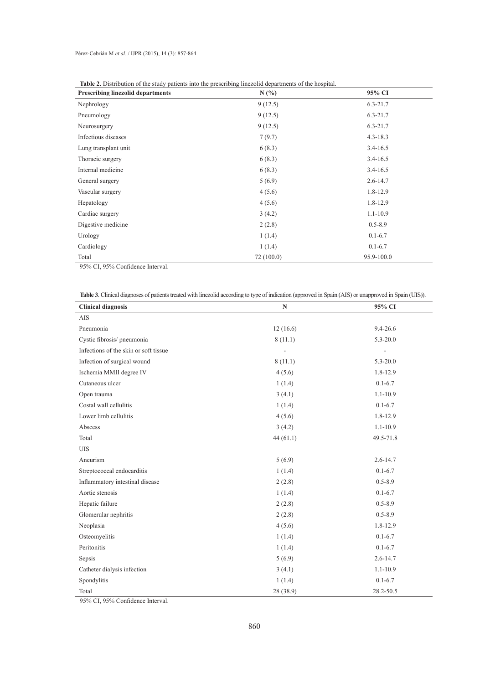| <b>Table 2.</b> Distribution of the study patients moved by preservoing intezonal departments of the hospital.<br><b>Prescribing linezolid departments</b> | N(%       | 95% CI       |  |
|------------------------------------------------------------------------------------------------------------------------------------------------------------|-----------|--------------|--|
| Nephrology                                                                                                                                                 | 9(12.5)   | $6.3 - 21.7$ |  |
| Pneumology                                                                                                                                                 | 9(12.5)   | $6.3 - 21.7$ |  |
| Neurosurgery                                                                                                                                               | 9(12.5)   | $6.3 - 21.7$ |  |
| Infectious diseases                                                                                                                                        | 7(9.7)    | $4.3 - 18.3$ |  |
| Lung transplant unit                                                                                                                                       | 6(8.3)    | $3.4 - 16.5$ |  |
| Thoracic surgery                                                                                                                                           | 6(8.3)    | $3.4 - 16.5$ |  |
| Internal medicine                                                                                                                                          | 6(8.3)    | $3.4 - 16.5$ |  |
| General surgery                                                                                                                                            | 5(6.9)    | $2.6 - 14.7$ |  |
| Vascular surgery                                                                                                                                           | 4(5.6)    | $1.8 - 12.9$ |  |
| Hepatology                                                                                                                                                 | 4(5.6)    | $1.8 - 12.9$ |  |
| Cardiac surgery                                                                                                                                            | 3(4.2)    | $1.1 - 10.9$ |  |
| Digestive medicine                                                                                                                                         | 2(2.8)    | $0.5 - 8.9$  |  |
| Urology                                                                                                                                                    | 1(1.4)    | $0.1 - 6.7$  |  |
| Cardiology                                                                                                                                                 | 1(1.4)    | $0.1 - 6.7$  |  |
| Total                                                                                                                                                      | 72(100.0) | 95.9-100.0   |  |

95% CI, 95% Confidence Interval.

| <b>Table 3</b> . Clinical diagnoses of patients treated with linezolid according to type of indication (approved in Spain (AIS) or unapproved in Spain (UIS)). |
|----------------------------------------------------------------------------------------------------------------------------------------------------------------|
|----------------------------------------------------------------------------------------------------------------------------------------------------------------|

| <b>Clinical diagnosis</b>             | $\mathbf N$ | 95% CI       |  |
|---------------------------------------|-------------|--------------|--|
| AIS                                   |             |              |  |
| Pneumonia                             | 12(16.6)    | $9.4 - 26.6$ |  |
| Cystic fibrosis/pneumonia             | 8(11.1)     | $5.3 - 20.0$ |  |
| Infections of the skin or soft tissue |             | L.           |  |
| Infection of surgical wound           | 8(11.1)     | $5.3 - 20.0$ |  |
| Ischemia MMII degree IV               | 4(5.6)      | $1.8 - 12.9$ |  |
| Cutaneous ulcer                       | 1(1.4)      | $0.1 - 6.7$  |  |
| Open trauma                           | 3(4.1)      | $1.1 - 10.9$ |  |
| Costal wall cellulitis                | 1(1.4)      | $0.1 - 6.7$  |  |
| Lower limb cellulitis                 | 4(5.6)      | 1.8-12.9     |  |
| Abscess                               | 3(4.2)      | $1.1 - 10.9$ |  |
| Total                                 | 44(61.1)    | 49.5-71.8    |  |
| <b>UIS</b>                            |             |              |  |
| Aneurism                              | 5(6.9)      | $2.6 - 14.7$ |  |
| Streptococcal endocarditis            | 1(1.4)      | $0.1 - 6.7$  |  |
| Inflammatory intestinal disease       | 2(2.8)      | $0.5 - 8.9$  |  |
| Aortic stenosis                       | 1(1.4)      | $0.1 - 6.7$  |  |
| Hepatic failure                       | 2(2.8)      | $0.5 - 8.9$  |  |
| Glomerular nephritis                  | 2(2.8)      | $0.5 - 8.9$  |  |
| Neoplasia                             | 4(5.6)      | $1.8 - 12.9$ |  |
| Osteomyelitis                         | 1(1.4)      | $0.1 - 6.7$  |  |
| Peritonitis                           | 1(1.4)      | $0.1 - 6.7$  |  |
| Sepsis                                | 5(6.9)      | $2.6 - 14.7$ |  |
| Catheter dialysis infection           | 3(4.1)      | $1.1 - 10.9$ |  |
| Spondylitis                           | 1(1.4)      | $0.1 - 6.7$  |  |
| Total                                 | 28 (38.9)   | 28.2-50.5    |  |

95% CI, 95% Confidence Interval.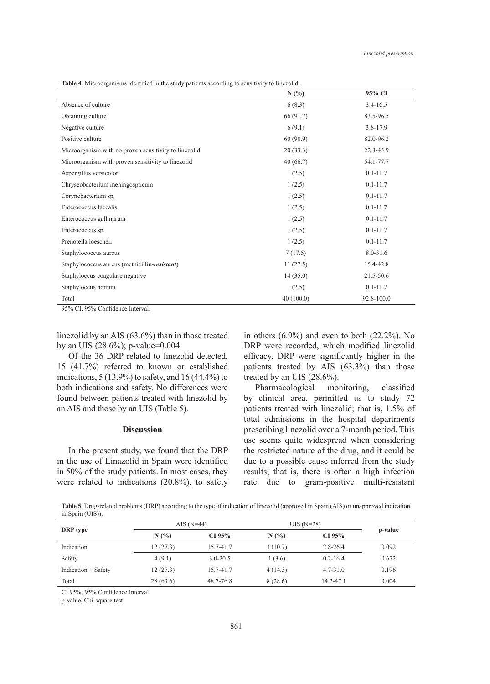| Table 4. Microorganisms identified in the study patients according to sensitivity to linezolid. |  |  |  |
|-------------------------------------------------------------------------------------------------|--|--|--|
|-------------------------------------------------------------------------------------------------|--|--|--|

|                                                       | N(%)      | 95% CI       |
|-------------------------------------------------------|-----------|--------------|
| Absence of culture                                    | 6(8.3)    | $3.4 - 16.5$ |
| Obtaining culture                                     | 66 (91.7) | 83.5-96.5    |
| Negative culture                                      | 6(9.1)    | $3.8 - 17.9$ |
| Positive culture                                      | 60(90.9)  | 82.0-96.2    |
| Microorganism with no proven sensitivity to linezolid | 20(33.3)  | 22.3-45.9    |
| Microorganism with proven sensitivity to linezolid    | 40(66.7)  | 54.1-77.7    |
| Aspergillus versicolor                                | 1(2.5)    | $0.1 - 11.7$ |
| Chryseobacterium meningospticum                       | 1(2.5)    | $0.1 - 11.7$ |
| Corynebacterium sp.                                   | 1(2.5)    | $0.1 - 11.7$ |
| Enterococcus faecalis                                 | 1(2.5)    | $0.1 - 11.7$ |
| Enterococcus gallinarum                               | 1(2.5)    | $0.1 - 11.7$ |
| Enterococcus sp.                                      | 1(2.5)    | $0.1 - 11.7$ |
| Prenotella loescheii                                  | 1(2.5)    | $0.1 - 11.7$ |
| Staphylococcus aureus                                 | 7(17.5)   | $8.0 - 31.6$ |
| Staphylococcus aureus (methicillin-resistant)         | 11(27.5)  | 15.4-42.8    |
| Staphyloccus coagulase negative                       | 14(35.0)  | 21.5-50.6    |
| Staphyloccus homini                                   | 1(2.5)    | $0.1 - 11.7$ |
| Total                                                 | 40(100.0) | 92.8-100.0   |

95% CI, 95% Confidence Interval.

linezolid by an AIS (63.6%) than in those treated by an UIS (28.6%); p-value=0.004.

Of the 36 DRP related to linezolid detected, 15 (41.7%) referred to known or established indications, 5 (13.9%) to safety, and 16 (44.4%) to both indications and safety. No differences were found between patients treated with linezolid by an AIS and those by an UIS (Table 5).

## **Discussion**

In the present study, we found that the DRP in the use of Linazolid in Spain were identified in 50% of the study patients. In most cases, they were related to indications (20.8%), to safety in others  $(6.9\%)$  and even to both  $(22.2\%)$ . No DRP were recorded, which modified linezolid efficacy. DRP were significantly higher in the patients treated by AIS (63.3%) than those treated by an UIS (28.6%).

Pharmacological monitoring, classified by clinical area, permitted us to study 72 patients treated with linezolid; that is, 1.5% of total admissions in the hospital departments prescribing linezolid over a 7-month period. This use seems quite widespread when considering the restricted nature of the drug, and it could be due to a possible cause inferred from the study results; that is, there is often a high infection rate due to gram-positive multi-resistant

**Table 5**. Drug-related problems (DRP) according to the type of indication of linezolid (approved in Spain (AIS) or unapproved indication in Spain (UIS)).

| DRP type            | AIS $(N=44)$ |              | $UIS(N=28)$ |              |         |
|---------------------|--------------|--------------|-------------|--------------|---------|
|                     | N(%)         | CI 95%       | N(%)        | CI 95%       | p-value |
| Indication          | 12(27.3)     | 15.7-41.7    | 3(10.7)     | $2.8 - 26.4$ | 0.092   |
| Safety              | 4(9.1)       | $3.0 - 20.5$ | 1(3.6)      | $0.2 - 16.4$ | 0.672   |
| Indication + Safety | 12(27.3)     | 15.7-41.7    | 4(14.3)     | $4.7 - 31.0$ | 0.196   |
| Total               | 28(63.6)     | 48.7-76.8    | 8(28.6)     | 14.2-47.1    | 0.004   |

CI 95%, 95% Confidence Interval

p-value, Chi-square test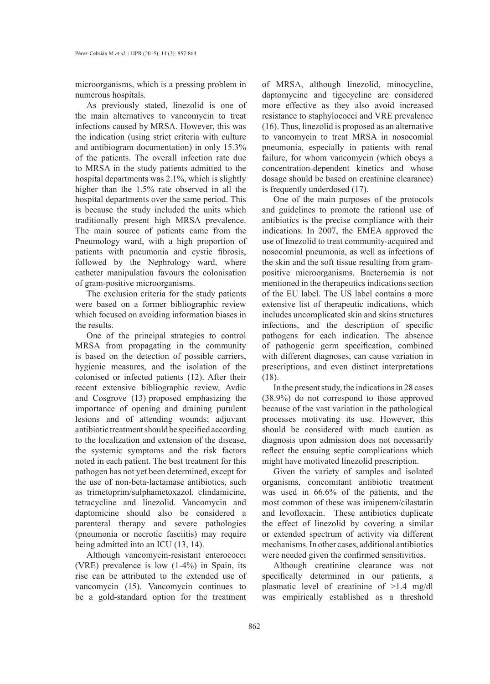microorganisms, which is a pressing problem in numerous hospitals.

As previously stated, linezolid is one of the main alternatives to vancomycin to treat infections caused by MRSA. However, this was the indication (using strict criteria with culture and antibiogram documentation) in only 15.3% of the patients. The overall infection rate due to MRSA in the study patients admitted to the hospital departments was 2.1%, which is slightly higher than the 1.5% rate observed in all the hospital departments over the same period. This is because the study included the units which traditionally present high MRSA prevalence. The main source of patients came from the Pneumology ward, with a high proportion of patients with pneumonia and cystic fibrosis, followed by the Nephrology ward, where catheter manipulation favours the colonisation of gram-positive microorganisms.

The exclusion criteria for the study patients were based on a former bibliographic review which focused on avoiding information biases in the results.

One of the principal strategies to control MRSA from propagating in the community is based on the detection of possible carriers, hygienic measures, and the isolation of the colonised or infected patients (12). After their recent extensive bibliographic review, Avdic and Cosgrove (13) proposed emphasizing the importance of opening and draining purulent lesions and of attending wounds; adjuvant antibiotic treatment should be specified according to the localization and extension of the disease, the systemic symptoms and the risk factors noted in each patient. The best treatment for this pathogen has not yet been determined, except for the use of non-beta-lactamase antibiotics, such as trimetoprim/sulphametoxazol, clindamicine, tetracycline and linezolid. Vancomycin and daptomicine should also be considered a parenteral therapy and severe pathologies (pneumonia or necrotic fasciitis) may require being admitted into an ICU (13, 14).

Although vancomycin-resistant enterococci (VRE) prevalence is low (1-4%) in Spain, its rise can be attributed to the extended use of vancomycin (15). Vancomycin continues to be a gold-standard option for the treatment

of MRSA, although linezolid, minocycline, daptomycine and tigecycline are considered more effective as they also avoid increased resistance to staphylococci and VRE prevalence (16). Thus, linezolid is proposed as an alternative to vancomycin to treat MRSA in nosocomial pneumonia, especially in patients with renal failure, for whom vancomycin (which obeys a concentration-dependent kinetics and whose dosage should be based on creatinine clearance) is frequently underdosed (17).

One of the main purposes of the protocols and guidelines to promote the rational use of antibiotics is the precise compliance with their indications. In 2007, the EMEA approved the use of linezolid to treat community-acquired and nosocomial pneumonia, as well as infections of the skin and the soft tissue resulting from grampositive microorganisms. Bacteraemia is not mentioned in the therapeutics indications section of the EU label. The US label contains a more extensive list of therapeutic indications, which includes uncomplicated skin and skins structures infections, and the description of specific pathogens for each indication. The absence of pathogenic germ specification, combined with different diagnoses, can cause variation in prescriptions, and even distinct interpretations (18).

In the present study, the indications in 28 cases (38.9%) do not correspond to those approved because of the vast variation in the pathological processes motivating its use. However, this should be considered with much caution as diagnosis upon admission does not necessarily reflect the ensuing septic complications which might have motivated linezolid prescription.

Given the variety of samples and isolated organisms, concomitant antibiotic treatment was used in 66.6% of the patients, and the most common of these was imipenem/cilastatin and levofloxacin. These antibiotics duplicate the effect of linezolid by covering a similar or extended spectrum of activity via different mechanisms. In other cases, additional antibiotics were needed given the confirmed sensitivities.

Although creatinine clearance was not specifically determined in our patients, a plasmatic level of creatinine of >1.4 mg/dl was empirically established as a threshold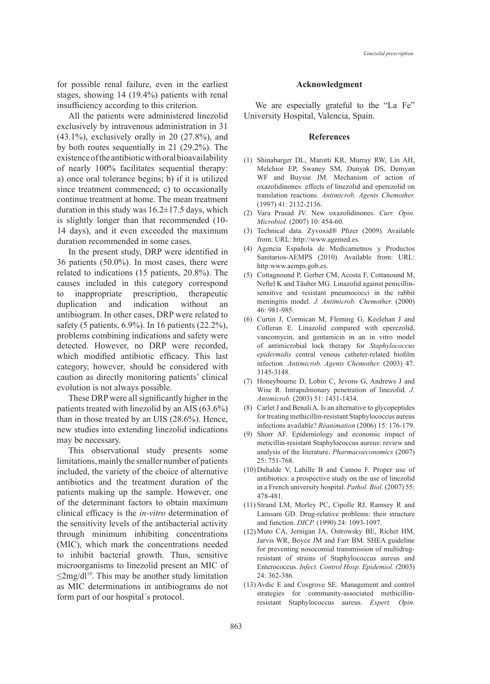*Linezolid prescription.*

for possible renal failure, even in the earliest stages, showing 14 (19.4%) patients with renal insufficiency according to this criterion.

All the patients were administered linezolid exclusively by intravenous administration in 31 (43.1%), exclusively orally in 20 (27.8%), and by both routes sequentially in 21 (29.2%). The existence of the antibiotic with oral bioavailability of nearly 100% facilitates sequential therapy: a) once oral tolerance begins; b) if it is utilized since treatment commenced; c) to occasionally continue treatment at home. The mean treatment duration in this study was  $16.2 \pm 17.5$  days, which is slightly longer than that recommended (10- 14 days), and it even exceeded the maximum duration recommended in some cases.

In the present study, DRP were identified in 36 patients (50.0%). In most cases, there were related to indications (15 patients, 20.8%). The causes included in this category correspond to inappropriate prescription, therapeutic duplication and indication without an antibiogram. In other cases, DRP were related to safety (5 patients, 6.9%). In 16 patients (22.2%), problems combining indications and safety were detected. However, no DRP were recorded, which modified antibiotic efficacy. This last category, however, should be considered with caution as directly monitoring patients' clinical evolution is not always possible.

These DRP were all significantly higher in the patients treated with linezolid by an AIS (63.6%) than in those treated by an UIS (28.6%). Hence, new studies into extending linezolid indications may be necessary.

This observational study presents some limitations, mainly the smaller number of patients included, the variety of the choice of alternative antibiotics and the treatment duration of the patients making up the sample. However, one of the determinant factors to obtain maximum clinical efficacy is the *in-vitro* determination of the sensitivity levels of the antibacterial activity through minimum inhibiting concentrations (MIC), which mark the concentrations needed to inhibit bacterial growth. Thus, sensitive microorganisms to linezolid present an MIC of  $\leq$ 2mg/dl<sup>19</sup>. This may be another study limitation as MIC determinations in antibiograms do not form part of our hospital´s protocol.

### **Acknowledgment**

We are especially grateful to the "La Fe" University Hospital, Valencia, Spain.

#### **References**

- (1) Shinabarger DL, Marotti KR, Murray RW, Lin AH, Melchior EP, Swaney SM, Dunyak DS, Demyan WF and Buysse JM. Mechanism of action of oxazolidinones: effects of linezolid and eperezolid on translation reactions. *Antimicrob. Agents Chemother.* (1997) 41: 2132-2136.
- (2) Vara Prasad JV. New oxazolidinones. Curr. Opin. *Microbiol.* (2007) 10: 454-60.
- Technical data. Zyvoxid® Pfizer (2009). Available (3) from: URL: http://www.agemed.es.
- Agencia Española de Medicametnos y Productos (4) Sanitarios-AEMPS (2010). Available from: URL: http:www.aemps.gob.es.
- (5) Cottagnound P, Gerber CM, Acosta F, Cottanound M, Neftel K and Täuber MG. Linazolid against penicillinsensitive and resistant pneumococci in the rabbit meningitis model. *J. Antimicrob. Chemother.* (2000) 46: 981-985.
- (6) Curtin J, Cormican M, Fleming G, Keelehan J and Colleran E. Linazolid compared with eperezolid, vancomycin, and gentamicin in an in vitro model of antimicrobial lock therapy for *Staphylococcus epidermidis* central venous catheter-related biofilm infection. *Antimicrob. Agents Chemother.* (2003) 47: 3145-3148.
- (7) Honeybourne D, Lobin C, Jevons G, Andrews J and Wise R. Intrapulmonary penetration of linezolid. *J. Antimicrob.* (2003) 51: 1431-1434.
- Carlet J and Benali A. Is an alternative to glycopeptides (8) for treating methicillin-resistant Staphylococcus aureus infections available? *Réanimation* (2006) 15: 176-179.
- (9) Shorr AF. Epidemiology and economic impact of meticillin-resistant Staphylococcus aureus: review and analysis of the literature. *Pharmacoeconomics* (2007) 25: 751-768.
- $(10)$  Duhalde V, Lahille B and Camou F. Proper use of antibiotics: a prospective study on the use of linezolid in a French university hospital. *Pathol. Biol*. (2007) 55: 478-481.
- (11) Strand LM, Morley PC, Cipolle RJ, Ramsey R and Lamsam GD. Drug-relative problems: their structure and function. *DICP.* (1990) 24: 1093-1097.
- (12) Muto CA, Jernigan JA, Ostrowsky BE, Richet HM, Jarvis WR, Boyce JM and Farr BM. SHEA guideline for preventing nosocomial transmission of multidrugresistant of strains of Staphylococcus aureus and Enterococcus. *Infect. Control Hosp. Epidemiol. (*2003) 24: 362-386.
- $(13)$  Avdic E and Cosgrove SE. Management and control strategies for community-associated methicillinresistant Staphylococcus aureus. *Expert. Opin.*